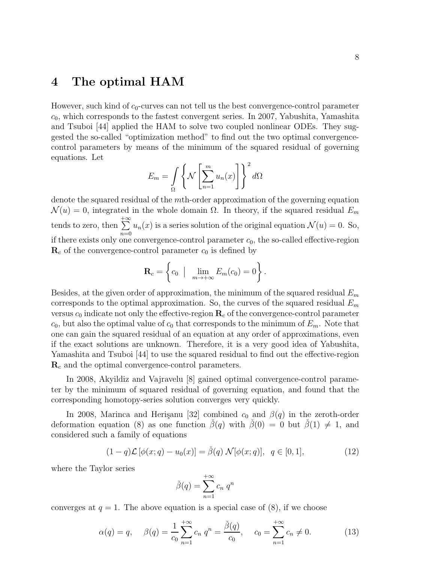## 4 The optimal HAM

However, such kind of  $c_0$ -curves can not tell us the best convergence-control parameter  $c_0$ , which corresponds to the fastest convergent series. In 2007, Yabushita, Yamashita and Tsuboi [44] applied the HAM to solve two coupled nonlinear ODEs. They suggested the so-called "optimization method" to find out the two optimal convergencecontrol parameters by means of the minimum of the squared residual of governing equations. Let

$$
E_m = \int_{\Omega} \left\{ \mathcal{N} \left[ \sum_{n=1}^m u_n(x) \right] \right\}^2 d\Omega
$$

denote the squared residual of the mth-order approximation of the governing equation  $\mathcal{N}(u) = 0$ , integrated in the whole domain  $\Omega$ . In theory, if the squared residual  $E_m$ tends to zero, then  $+ \infty$  $n=0$  $u_n(x)$  is a series solution of the original equation  $\mathcal{N}(u) = 0$ . So, if there exists only one convergence-control parameter  $c_0$ , the so-called effective-region  $\mathbf{R}_c$  of the convergence-control parameter  $c_0$  is defined by

$$
\mathbf{R}_c = \left\{c_0 \mid \lim_{m \to +\infty} E_m(c_0) = 0\right\}.
$$

Besides, at the given order of approximation, the minimum of the squared residual  $E_m$ corresponds to the optimal approximation. So, the curves of the squared residual  $E_m$ versus  $c_0$  indicate not only the effective-region  $\mathbf{R}_c$  of the convergence-control parameter  $c_0$ , but also the optimal value of  $c_0$  that corresponds to the minimum of  $E_m$ . Note that one can gain the squared residual of an equation at any order of approximations, even if the exact solutions are unknown. Therefore, it is a very good idea of Yabushita, Yamashita and Tsuboi [44] to use the squared residual to find out the effective-region  $\mathbf{R}_c$  and the optimal convergence-control parameters.

In 2008, Akyildiz and Vajravelu [8] gained optimal convergence-control parameter by the minimum of squared residual of governing equation, and found that the corresponding homotopy-series solution converges very quickly.

In 2008, Marinca and Herisanu [32] combined  $c_0$  and  $\beta(q)$  in the zeroth-order deformation equation (8) as one function  $\beta(q)$  with  $\beta(0) = 0$  but  $\beta(1) \neq 1$ , and considered such a family of equations

$$
(1-q)\mathcal{L}[\phi(x;q) - u_0(x)] = \check{\beta}(q)\,\mathcal{N}[\phi(x;q)], \ q \in [0,1], \tag{12}
$$

where the Taylor series

$$
\check{\beta}(q) = \sum_{n=1}^{+\infty} c_n q^n
$$

converges at  $q = 1$ . The above equation is a special case of  $(8)$ , if we choose

$$
\alpha(q) = q, \quad \beta(q) = \frac{1}{c_0} \sum_{n=1}^{+\infty} c_n q^n = \frac{\check{\beta}(q)}{c_0}, \quad c_0 = \sum_{n=1}^{+\infty} c_n \neq 0. \tag{13}
$$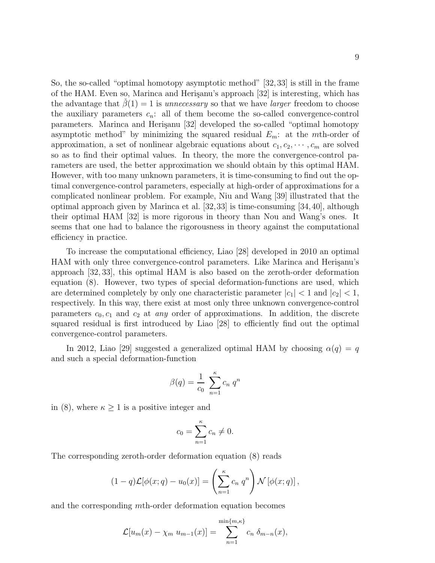So, the so-called "optimal homotopy asymptotic method" [32,33] is still in the frame of the HAM. Even so, Marinca and Herisanu's approach [32] is interesting, which has the advantage that  $\beta(1) = 1$  is unnecessary so that we have larger freedom to choose the auxiliary parameters  $c_n$ : all of them become the so-called convergence-control parameters. Marinca and Herişanu [32] developed the so-called "optimal homotopy asymptotic method" by minimizing the squared residual  $E_m$ : at the mth-order of approximation, a set of nonlinear algebraic equations about  $c_1, c_2, \cdots, c_m$  are solved so as to find their optimal values. In theory, the more the convergence-control parameters are used, the better approximation we should obtain by this optimal HAM. However, with too many unknown parameters, it is time-consuming to find out the optimal convergence-control parameters, especially at high-order of approximations for a complicated nonlinear problem. For example, Niu and Wang [39] illustrated that the optimal approach given by Marinca et al. [32,33] is time-consuming [34,40], although their optimal HAM [32] is more rigorous in theory than Nou and Wang's ones. It seems that one had to balance the rigorousness in theory against the computational efficiency in practice.

To increase the computational efficiency, Liao [28] developed in 2010 an optimal HAM with only three convergence-control parameters. Like Marinca and Herisanu's approach [32, 33], this optimal HAM is also based on the zeroth-order deformation equation (8). However, two types of special deformation-functions are used, which are determined completely by only one characteristic parameter  $|c_1| < 1$  and  $|c_2| < 1$ , respectively. In this way, there exist at most only three unknown convergence-control parameters  $c_0, c_1$  and  $c_2$  at any order of approximations. In addition, the discrete squared residual is first introduced by Liao [28] to efficiently find out the optimal convergence-control parameters.

In 2012, Liao [29] suggested a generalized optimal HAM by choosing  $\alpha(q) = q$ and such a special deformation-function

$$
\beta(q) = \frac{1}{c_0} \sum_{n=1}^{\kappa} c_n q^n
$$

in (8), where  $\kappa \geq 1$  is a positive integer and

$$
c_0 = \sum_{n=1}^{\kappa} c_n \neq 0.
$$

The corresponding zeroth-order deformation equation (8) reads

$$
(1-q)\mathcal{L}[\phi(x;q) - u_0(x)] = \left(\sum_{n=1}^{\kappa} c_n q^n\right) \mathcal{N}[\phi(x;q)],
$$

and the corresponding mth-order deformation equation becomes

$$
\mathcal{L}[u_m(x) - \chi_m u_{m-1}(x)] = \sum_{n=1}^{\min\{m,\kappa\}} c_n \, \delta_{m-n}(x),
$$